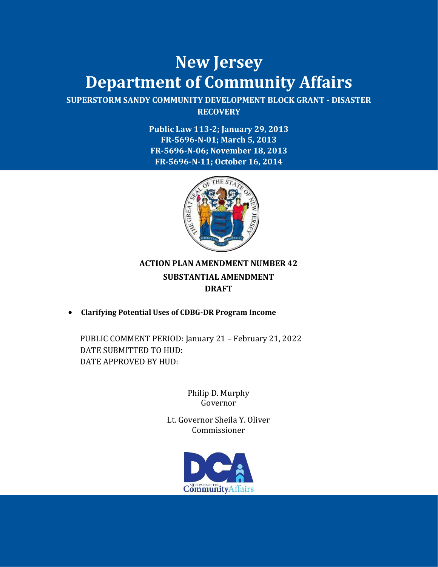# **New Jersey Department of Community Affairs**

**SUPERSTORM SANDY COMMUNITY DEVELOPMENT BLOCK GRANT - DISASTER RECOVERY**

> **Public Law 113-2; January 29, 2013 FR-5696-N-01; March 5, 2013 FR-5696-N-06; November 18, 2013 FR-5696-N-11; October 16, 2014**



#### **ACTION PLAN AMENDMENT NUMBER 42 SUBSTANTIAL AMENDMENT DRAFT**

• **Clarifying Potential Uses of CDBG-DR Program Income**

PUBLIC COMMENT PERIOD: January 21 – February 21, 2022 DATE SUBMITTED TO HUD: DATE APPROVED BY HUD:

> Philip D. Murphy Governor

Lt. Governor Sheila Y. Oliver Commissioner

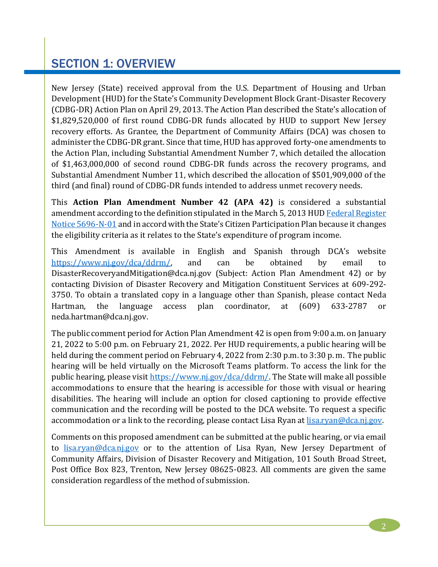### SECTION 1: OVERVIEW

New Jersey (State) received approval from the U.S. Department of Housing and Urban Development (HUD) for the State's Community Development Block Grant-Disaster Recovery (CDBG-DR) Action Plan on April 29, 2013. The Action Plan described the State's allocation of \$1,829,520,000 of first round CDBG-DR funds allocated by HUD to support New Jersey recovery efforts. As Grantee, the Department of Community Affairs (DCA) was chosen to administer the CDBG-DR grant. Since that time, HUD has approved forty-one amendments to the Action Plan, including Substantial Amendment Number 7, which detailed the allocation of \$1,463,000,000 of second round CDBG-DR funds across the recovery programs, and Substantial Amendment Number 11, which described the allocation of \$501,909,000 of the third (and final) round of CDBG-DR funds intended to address unmet recovery needs.

This **Action Plan Amendment Number 42 (APA 42)** is considered a substantial amendment according to the definition stipulated in the March 5, 2013 HU[D Federal Register](https://www.gpo.gov/fdsys/pkg/FR-2013-03-05/pdf/2013-05170.pdf)  Notice [5696-N-01](https://www.gpo.gov/fdsys/pkg/FR-2013-03-05/pdf/2013-05170.pdf) and in accord with the State's Citizen Participation Plan because it changes the eligibility criteria as it relates to the State's expenditure of program income.

This Amendment is available in English and Spanish through DCA's website [https://www.nj.gov/dca/ddrm/,](https://www.nj.gov/dca/ddrm/) and can be obtained by email to DisasterRecoveryandMitigation@dca.nj.gov (Subject: Action Plan Amendment 42) or by contacting Division of Disaster Recovery and Mitigation Constituent Services at 609-292- 3750. To obtain a translated copy in a language other than Spanish, please contact Neda Hartman, the language access plan coordinator, at (609) 633-2787 or neda.hartman@dca.nj.gov.

The public comment period for Action Plan Amendment 42 is open from 9:00 a.m. on January 21, 2022 to 5:00 p.m. on February 21, 2022. Per HUD requirements, a public hearing will be held during the comment period on February 4, 2022 from 2:30 p.m. to 3:30 p. m. The public hearing will be held virtually on the Microsoft Teams platform. To access the link for the public hearing, please visi[t https://www.nj.gov/dca/ddrm/.](https://www.nj.gov/dca/ddrm/) The State will make all possible accommodations to ensure that the hearing is accessible for those with visual or hearing disabilities. The hearing will include an option for closed captioning to provide effective communication and the recording will be posted to the DCA website. To request a specific accommodation or a link to the recording, please contact Lisa Ryan at lisa.ryan@dca.nj.gov.

Comments on this proposed amendment can be submitted at the public hearing, or via email to [lisa.ryan@dca.nj.gov](mailto:lisa.ryan@dca.nj.gov) or to the attention of Lisa Ryan, New Jersey Department of Community Affairs, Division of Disaster Recovery and Mitigation, 101 South Broad Street, Post Office Box 823, Trenton, New Jersey 08625-0823. All comments are given the same consideration regardless of the method of submission.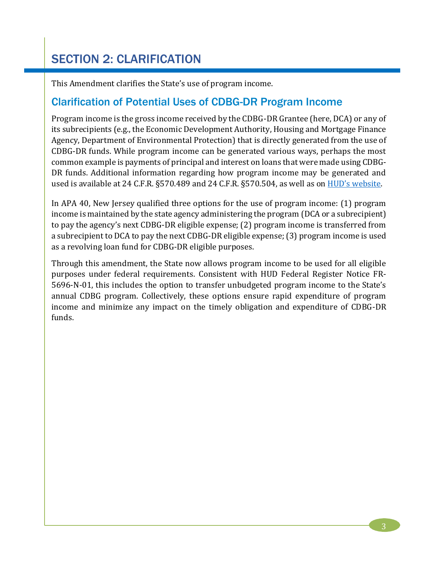This Amendment clarifies the State's use of program income.

#### Clarification of Potential Uses of CDBG-DR Program Income

Program income is the gross income received by the CDBG-DR Grantee (here, DCA) or any of its subrecipients (e.g., the Economic Development Authority, Housing and Mortgage Finance Agency, Department of Environmental Protection) that is directly generated from the use of CDBG-DR funds. While program income can be generated various ways, perhaps the most common example is payments of principal and interest on loans that were made using CDBG-DR funds. Additional information regarding how program income may be generated and used is available at 24 C.F.R. §570.489 and 24 C.F.R. §570.504, as well as on [HUD's website](https://www.hudexchange.info/sites/onecpd/assets/File/Basically-CDBG-State-Chapter-16-Financial-Management.pdf).

In APA 40, New Jersey qualified three options for the use of program income: (1) program income is maintained by the state agency administering the program (DCA or a subrecipient) to pay the agency's next CDBG-DR eligible expense; (2) program income is transferred from a subrecipient to DCA to pay the next CDBG-DR eligible expense; (3) program income is used as a revolving loan fund for CDBG-DR eligible purposes.

Through this amendment, the State now allows program income to be used for all eligible purposes under federal requirements. Consistent with HUD Federal Register Notice FR-5696-N-01, this includes the option to transfer unbudgeted program income to the State's annual CDBG program. Collectively, these options ensure rapid expenditure of program income and minimize any impact on the timely obligation and expenditure of CDBG-DR funds.